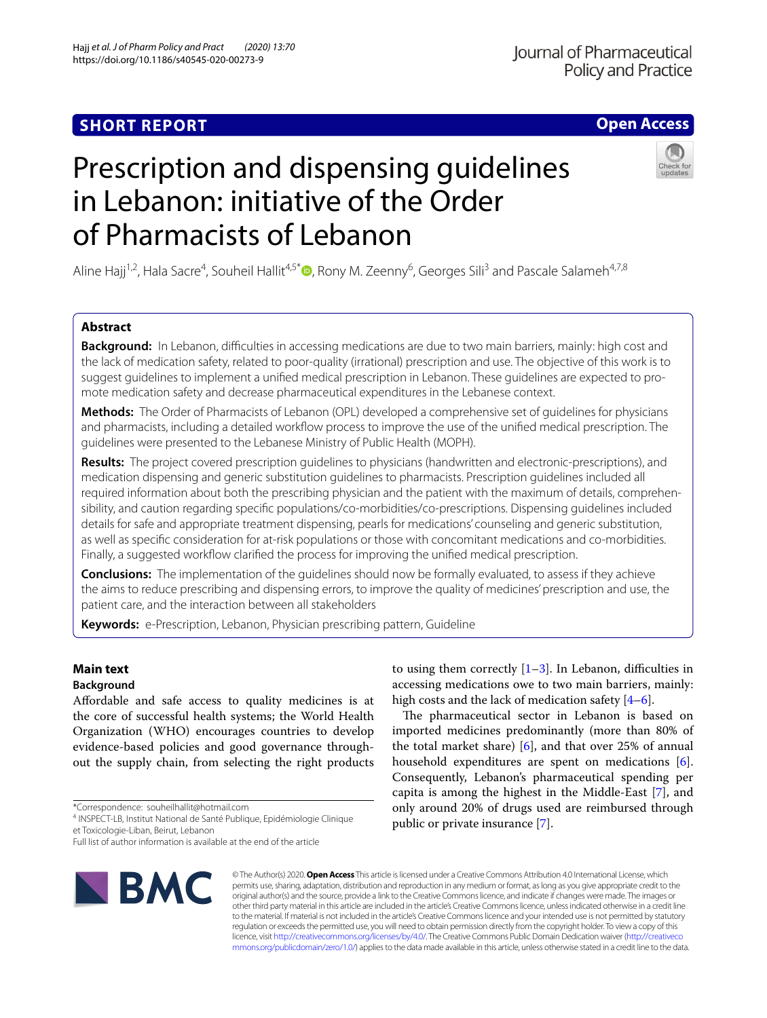# **SHORT REPORT**

# **Open Access**

# Prescription and dispensing guidelines in Lebanon: initiative of the Order of Pharmacists of Lebanon

Aline Hajj<sup>1,2</sup>, Hala Sacre<sup>4</sup>, Souheil Hallit<sup>4,5[\\*](http://orcid.org/0000-0001-6918-5689)</sup>®, Rony M. Zeenny<sup>6</sup>, Georges Sili<sup>3</sup> and Pascale Salameh<sup>4,7,8</sup>

# **Abstract**

**Background:** In Lebanon, difculties in accessing medications are due to two main barriers, mainly: high cost and the lack of medication safety, related to poor-quality (irrational) prescription and use. The objective of this work is to suggest guidelines to implement a unifed medical prescription in Lebanon. These guidelines are expected to promote medication safety and decrease pharmaceutical expenditures in the Lebanese context.

**Methods:** The Order of Pharmacists of Lebanon (OPL) developed a comprehensive set of guidelines for physicians and pharmacists, including a detailed workfow process to improve the use of the unifed medical prescription. The guidelines were presented to the Lebanese Ministry of Public Health (MOPH).

**Results:** The project covered prescription guidelines to physicians (handwritten and electronic-prescriptions), and medication dispensing and generic substitution guidelines to pharmacists. Prescription guidelines included all required information about both the prescribing physician and the patient with the maximum of details, comprehensibility, and caution regarding specifc populations/co-morbidities/co-prescriptions. Dispensing guidelines included details for safe and appropriate treatment dispensing, pearls for medications' counseling and generic substitution, as well as specifc consideration for at-risk populations or those with concomitant medications and co-morbidities. Finally, a suggested workfow clarifed the process for improving the unifed medical prescription.

**Conclusions:** The implementation of the guidelines should now be formally evaluated, to assess if they achieve the aims to reduce prescribing and dispensing errors, to improve the quality of medicines' prescription and use, the patient care, and the interaction between all stakeholders

**Keywords:** e-Prescription, Lebanon, Physician prescribing pattern, Guideline

# **Main text**

# **Background**

Afordable and safe access to quality medicines is at the core of successful health systems; the World Health Organization (WHO) encourages countries to develop evidence-based policies and good governance throughout the supply chain, from selecting the right products

\*Correspondence: souheilhallit@hotmail.com

4 INSPECT-LB, Institut National de Santé Publique, Epidémiologie Clinique et Toxicologie-Liban, Beirut, Lebanon

Full list of author information is available at the end of the article



to using them correctly  $[1-3]$  $[1-3]$ . In Lebanon, difficulties in accessing medications owe to two main barriers, mainly: high costs and the lack of medication safety [\[4](#page-3-2)[–6](#page-3-3)].

The pharmaceutical sector in Lebanon is based on imported medicines predominantly (more than 80% of the total market share) [[6\]](#page-3-3), and that over 25% of annual household expenditures are spent on medications [\[6](#page-3-3)]. Consequently, Lebanon's pharmaceutical spending per capita is among the highest in the Middle-East [\[7](#page-4-0)], and only around 20% of drugs used are reimbursed through public or private insurance [\[7](#page-4-0)].

© The Author(s) 2020. **Open Access** This article is licensed under a Creative Commons Attribution 4.0 International License, which permits use, sharing, adaptation, distribution and reproduction in any medium or format, as long as you give appropriate credit to the original author(s) and the source, provide a link to the Creative Commons licence, and indicate if changes were made. The images or other third party material in this article are included in the article's Creative Commons licence, unless indicated otherwise in a credit line to the material. If material is not included in the article's Creative Commons licence and your intended use is not permitted by statutory regulation or exceeds the permitted use, you will need to obtain permission directly from the copyright holder. To view a copy of this licence, visit [http://creativecommons.org/licenses/by/4.0/.](http://creativecommons.org/licenses/by/4.0/) The Creative Commons Public Domain Dedication waiver ([http://creativeco](http://creativecommons.org/publicdomain/zero/1.0/) [mmons.org/publicdomain/zero/1.0/](http://creativecommons.org/publicdomain/zero/1.0/)) applies to the data made available in this article, unless otherwise stated in a credit line to the data.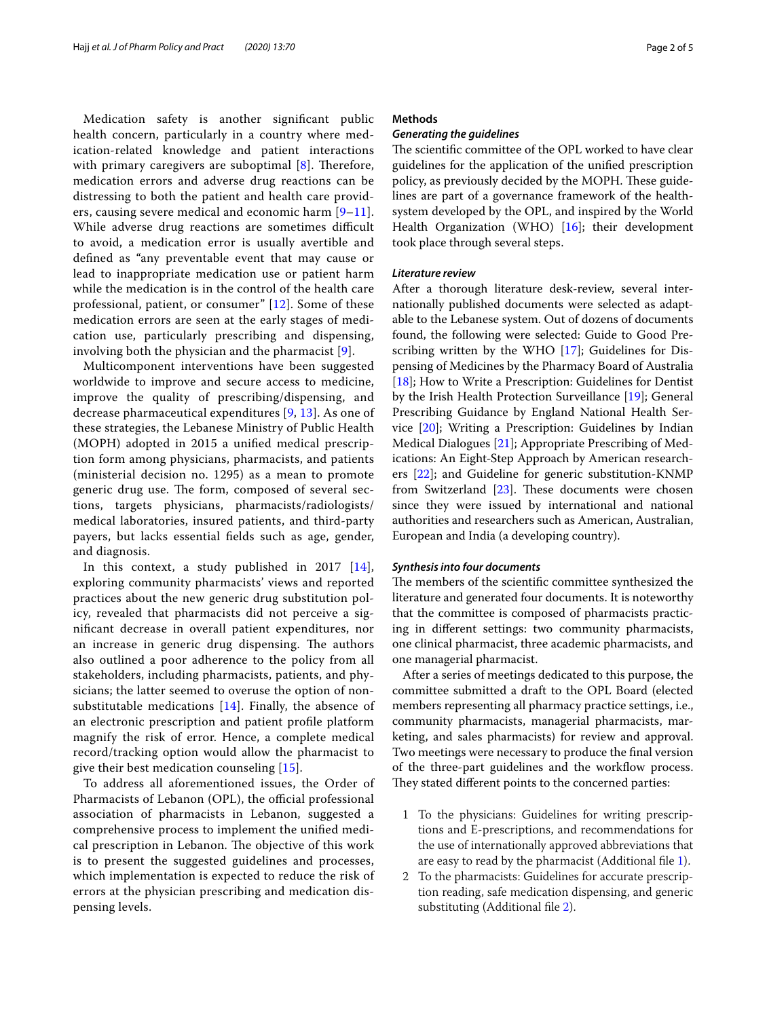Medication safety is another signifcant public health concern, particularly in a country where medication-related knowledge and patient interactions with primary caregivers are suboptimal  $[8]$  $[8]$ . Therefore, medication errors and adverse drug reactions can be distressing to both the patient and health care providers, causing severe medical and economic harm [[9–](#page-4-2)[11\]](#page-4-3). While adverse drug reactions are sometimes difficult to avoid, a medication error is usually avertible and defned as "any preventable event that may cause or lead to inappropriate medication use or patient harm while the medication is in the control of the health care professional, patient, or consumer" [[12](#page-4-4)]. Some of these medication errors are seen at the early stages of medication use, particularly prescribing and dispensing, involving both the physician and the pharmacist [\[9](#page-4-2)].

Multicomponent interventions have been suggested worldwide to improve and secure access to medicine, improve the quality of prescribing/dispensing, and decrease pharmaceutical expenditures [\[9](#page-4-2), [13](#page-4-5)]. As one of these strategies, the Lebanese Ministry of Public Health (MOPH) adopted in 2015 a unifed medical prescription form among physicians, pharmacists, and patients (ministerial decision no. 1295) as a mean to promote generic drug use. The form, composed of several sections, targets physicians, pharmacists/radiologists/ medical laboratories, insured patients, and third-party payers, but lacks essential felds such as age, gender, and diagnosis.

In this context, a study published in 2017 [[14\]](#page-4-6), exploring community pharmacists' views and reported practices about the new generic drug substitution policy, revealed that pharmacists did not perceive a signifcant decrease in overall patient expenditures, nor an increase in generic drug dispensing. The authors also outlined a poor adherence to the policy from all stakeholders, including pharmacists, patients, and physicians; the latter seemed to overuse the option of nonsubstitutable medications [[14\]](#page-4-6). Finally, the absence of an electronic prescription and patient profle platform magnify the risk of error. Hence, a complete medical record/tracking option would allow the pharmacist to give their best medication counseling [\[15\]](#page-4-7).

To address all aforementioned issues, the Order of Pharmacists of Lebanon (OPL), the official professional association of pharmacists in Lebanon, suggested a comprehensive process to implement the unifed medical prescription in Lebanon. The objective of this work is to present the suggested guidelines and processes, which implementation is expected to reduce the risk of errors at the physician prescribing and medication dispensing levels.

### **Methods**

#### *Generating the guidelines*

The scientific committee of the OPL worked to have clear guidelines for the application of the unifed prescription policy, as previously decided by the MOPH. These guidelines are part of a governance framework of the healthsystem developed by the OPL, and inspired by the World Health Organization (WHO) [\[16](#page-4-8)]; their development took place through several steps.

#### *Literature review*

After a thorough literature desk-review, several internationally published documents were selected as adaptable to the Lebanese system. Out of dozens of documents found, the following were selected: Guide to Good Prescribing written by the WHO [\[17](#page-4-9)]; Guidelines for Dispensing of Medicines by the Pharmacy Board of Australia [[18\]](#page-4-10); How to Write a Prescription: Guidelines for Dentist by the Irish Health Protection Surveillance [[19\]](#page-4-11); General Prescribing Guidance by England National Health Service [\[20](#page-4-12)]; Writing a Prescription: Guidelines by Indian Medical Dialogues [\[21](#page-4-13)]; Appropriate Prescribing of Medications: An Eight-Step Approach by American researchers [\[22\]](#page-4-14); and Guideline for generic substitution-KNMP from Switzerland [[23\]](#page-4-15). These documents were chosen since they were issued by international and national authorities and researchers such as American, Australian, European and India (a developing country).

#### *Synthesis into four documents*

The members of the scientific committee synthesized the literature and generated four documents. It is noteworthy that the committee is composed of pharmacists practicing in diferent settings: two community pharmacists, one clinical pharmacist, three academic pharmacists, and one managerial pharmacist.

After a series of meetings dedicated to this purpose, the committee submitted a draft to the OPL Board (elected members representing all pharmacy practice settings, i.e., community pharmacists, managerial pharmacists, marketing, and sales pharmacists) for review and approval. Two meetings were necessary to produce the fnal version of the three-part guidelines and the workflow process. They stated different points to the concerned parties:

- 1 To the physicians: Guidelines for writing prescriptions and E-prescriptions, and recommendations for the use of internationally approved abbreviations that are easy to read by the pharmacist (Additional fle [1](#page-3-4)).
- 2 To the pharmacists: Guidelines for accurate prescription reading, safe medication dispensing, and generic substituting (Additional file [2](#page-3-5)).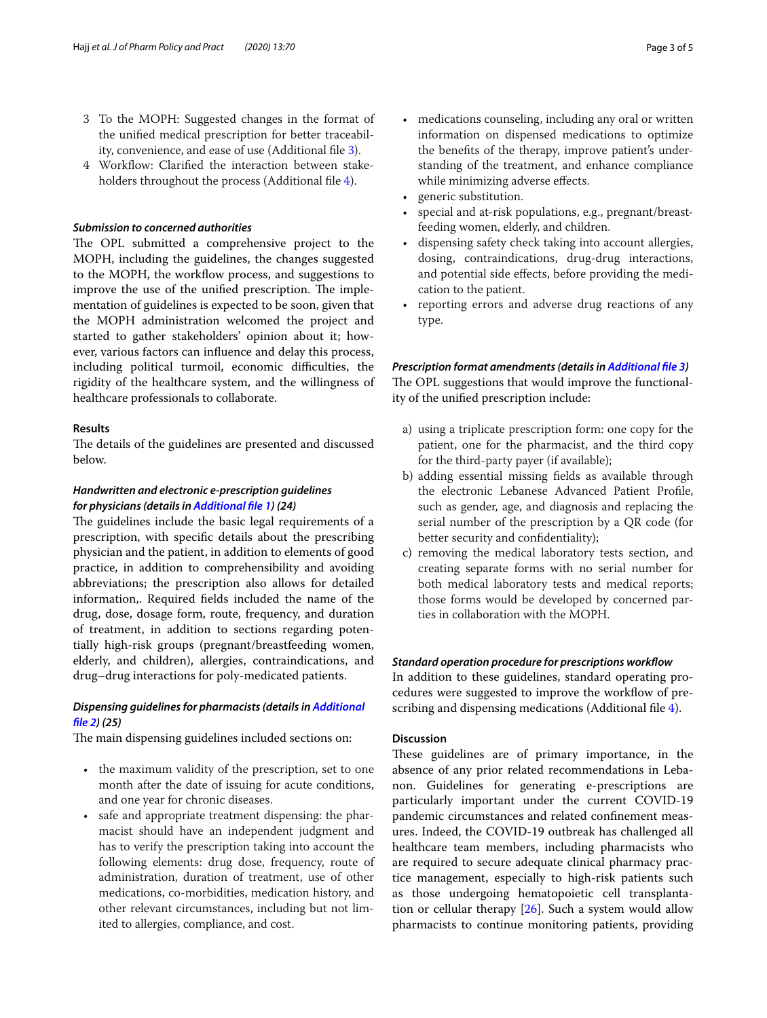- 3 To the MOPH: Suggested changes in the format of the unifed medical prescription for better traceability, convenience, and ease of use (Additional fle [3](#page-3-6)).
- 4 Workfow: Clarifed the interaction between stakeholders throughout the process (Additional fle [4\)](#page-3-7).

#### *Submission to concerned authorities*

The OPL submitted a comprehensive project to the MOPH, including the guidelines, the changes suggested to the MOPH, the workflow process, and suggestions to improve the use of the unified prescription. The implementation of guidelines is expected to be soon, given that the MOPH administration welcomed the project and started to gather stakeholders' opinion about it; however, various factors can infuence and delay this process, including political turmoil, economic difficulties, the rigidity of the healthcare system, and the willingness of healthcare professionals to collaborate.

#### **Results**

The details of the guidelines are presented and discussed below.

# *Handwritten and electronic e‑prescription guidelines for physicians (details in [Additional fle 1\)](#page-2-0) (24)*

The guidelines include the basic legal requirements of a prescription, with specifc details about the prescribing physician and the patient, in addition to elements of good practice, in addition to comprehensibility and avoiding abbreviations; the prescription also allows for detailed information,. Required felds included the name of the drug, dose, dosage form, route, frequency, and duration of treatment, in addition to sections regarding potentially high-risk groups (pregnant/breastfeeding women, elderly, and children), allergies, contraindications, and drug–drug interactions for poly-medicated patients.

### <span id="page-2-0"></span>*Dispensing guidelines for pharmacists (details in [Additional](#page-2-1)  [fle 2\)](#page-2-1) (25)*

The main dispensing guidelines included sections on:

- the maximum validity of the prescription, set to one month after the date of issuing for acute conditions, and one year for chronic diseases.
- safe and appropriate treatment dispensing: the pharmacist should have an independent judgment and has to verify the prescription taking into account the following elements: drug dose, frequency, route of administration, duration of treatment, use of other medications, co-morbidities, medication history, and other relevant circumstances, including but not limited to allergies, compliance, and cost.
- medications counseling, including any oral or written information on dispensed medications to optimize the benefts of the therapy, improve patient's understanding of the treatment, and enhance compliance while minimizing adverse efects.
- generic substitution.
- special and at-risk populations, e.g., pregnant/breastfeeding women, elderly, and children.
- dispensing safety check taking into account allergies, dosing, contraindications, drug-drug interactions, and potential side efects, before providing the medication to the patient.
- reporting errors and adverse drug reactions of any type.

# <span id="page-2-1"></span>*Prescription format amendments (details in [Additional fle 3](#page-2-2))* The OPL suggestions that would improve the functional-

ity of the unifed prescription include:

- a) using a triplicate prescription form: one copy for the patient, one for the pharmacist, and the third copy for the third-party payer (if available);
- b) adding essential missing felds as available through the electronic Lebanese Advanced Patient Profle, such as gender, age, and diagnosis and replacing the serial number of the prescription by a QR code (for better security and confidentiality);
- c) removing the medical laboratory tests section, and creating separate forms with no serial number for both medical laboratory tests and medical reports; those forms would be developed by concerned parties in collaboration with the MOPH.

#### <span id="page-2-2"></span>*Standard operation procedure for prescriptions workfow*

In addition to these guidelines, standard operating procedures were suggested to improve the workflow of pre-scribing and dispensing medications (Additional file [4](#page-3-7)).

#### **Discussion**

These guidelines are of primary importance, in the absence of any prior related recommendations in Lebanon. Guidelines for generating e-prescriptions are particularly important under the current COVID-19 pandemic circumstances and related confnement measures. Indeed, the COVID-19 outbreak has challenged all healthcare team members, including pharmacists who are required to secure adequate clinical pharmacy practice management, especially to high-risk patients such as those undergoing hematopoietic cell transplantation or cellular therapy [\[26](#page-4-16)]. Such a system would allow pharmacists to continue monitoring patients, providing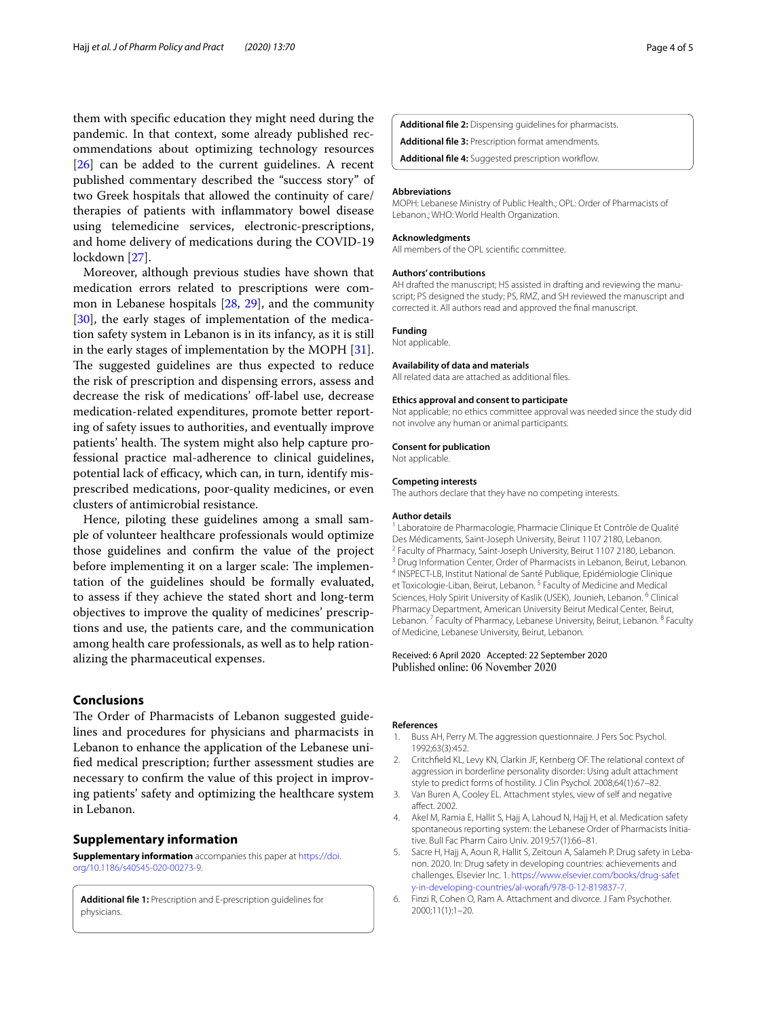them with specifc education they might need during the pandemic. In that context, some already published recommendations about optimizing technology resources [[26\]](#page-4-16) can be added to the current guidelines. A recent published commentary described the "success story" of two Greek hospitals that allowed the continuity of care/ therapies of patients with infammatory bowel disease using telemedicine services, electronic-prescriptions, and home delivery of medications during the COVID-19 lockdown [\[27](#page-4-17)].

Moreover, although previous studies have shown that medication errors related to prescriptions were common in Lebanese hospitals [[28](#page-4-18), [29\]](#page-4-19), and the community [[30\]](#page-4-20), the early stages of implementation of the medication safety system in Lebanon is in its infancy, as it is still in the early stages of implementation by the MOPH [\[31](#page-4-21)]. The suggested guidelines are thus expected to reduce the risk of prescription and dispensing errors, assess and decrease the risk of medications' off-label use, decrease medication-related expenditures, promote better reporting of safety issues to authorities, and eventually improve patients' health. The system might also help capture professional practice mal-adherence to clinical guidelines, potential lack of efficacy, which can, in turn, identify misprescribed medications, poor-quality medicines, or even clusters of antimicrobial resistance.

Hence, piloting these guidelines among a small sample of volunteer healthcare professionals would optimize those guidelines and confrm the value of the project before implementing it on a larger scale: The implementation of the guidelines should be formally evaluated, to assess if they achieve the stated short and long-term objectives to improve the quality of medicines' prescriptions and use, the patients care, and the communication among health care professionals, as well as to help rationalizing the pharmaceutical expenses.

#### **Conclusions**

The Order of Pharmacists of Lebanon suggested guidelines and procedures for physicians and pharmacists in Lebanon to enhance the application of the Lebanese unifed medical prescription; further assessment studies are necessary to confrm the value of this project in improving patients' safety and optimizing the healthcare system in Lebanon.

#### **Supplementary information**

**Supplementary information** accompanies this paper at [https://doi.](https://doi.org/10.1186/s40545-020-00273-9) [org/10.1186/s40545-020-00273-9](https://doi.org/10.1186/s40545-020-00273-9).

<span id="page-3-5"></span><span id="page-3-4"></span>**Additional fle 1:** Prescription and E-prescription guidelines for physicians.

<span id="page-3-6"></span>**Additional fle 2:** Dispensing guidelines for pharmacists.

<span id="page-3-7"></span>**Additional fle 3:** Prescription format amendments.

Additional file 4: Suggested prescription workflow.

#### **Abbreviations**

MOPH: Lebanese Ministry of Public Health.; OPL: Order of Pharmacists of Lebanon.; WHO: World Health Organization.

#### **Acknowledgments**

All members of the OPL scientifc committee.

#### **Authors' contributions**

AH drafted the manuscript; HS assisted in drafting and reviewing the manuscript; PS designed the study; PS, RMZ, and SH reviewed the manuscript and corrected it. All authors read and approved the fnal manuscript.

#### **Funding**

Not applicable.

#### **Availability of data and materials**

All related data are attached as additional fles.

#### **Ethics approval and consent to participate**

Not applicable; no ethics committee approval was needed since the study did not involve any human or animal participants.

#### **Consent for publication**

Not applicable.

#### **Competing interests**

The authors declare that they have no competing interests.

#### **Author details**

<sup>1</sup> Laboratoire de Pharmacologie, Pharmacie Clinique Et Contrôle de Qualité<br>Des Médicaments, Saint-Joseph University, Beirut 1107 2180, Lebanon. <sup>2</sup> Faculty of Pharmacy, Saint-Joseph University, Beirut 1107 2180, Lebanon.<br><sup>3</sup> Drug Information Center, Order of Pharmacists in Lebanon, Beirut, Lebanon.<br><sup>4</sup> INSPECT-LB, Institut National de Santé Publique, Epidémiologie et Toxicologie-Liban, Beirut, Lebanon.<sup>5</sup> Faculty of Medicine and Medical Sciences, Holy Spirit University of Kaslik (USEK), Jounieh, Lebanon. <sup>6</sup> Clinical Pharmacy Department, American University Beirut Medical Center, Beirut, Lebanon.<sup>7</sup> Faculty of Pharmacy, Lebanese University, Beirut, Lebanon.<sup>8</sup> Faculty of Medicine, Lebanese University, Beirut, Lebanon.

#### Received: 6 April 2020 Accepted: 22 September 2020 Published online: 06 November 2020

#### **References**

- <span id="page-3-0"></span>1. Buss AH, Perry M. The aggression questionnaire. J Pers Soc Psychol. 1992;63(3):452.
- 2. Critchfeld KL, Levy KN, Clarkin JF, Kernberg OF. The relational context of aggression in borderline personality disorder: Using adult attachment style to predict forms of hostility. J Clin Psychol. 2008;64(1):67–82.
- <span id="page-3-1"></span>3. Van Buren A, Cooley EL. Attachment styles, view of self and negative afect. 2002.
- <span id="page-3-2"></span>4. Akel M, Ramia E, Hallit S, Hajj A, Lahoud N, Hajj H, et al. Medication safety spontaneous reporting system: the Lebanese Order of Pharmacists Initiative. Bull Fac Pharm Cairo Univ. 2019;57(1):66–81.
- 5. Sacre H, Hajj A, Aoun R, Hallit S, Zeitoun A, Salameh P. Drug safety in Lebanon. 2020. In: Drug safety in developing countries: achievements and challenges. Elsevier Inc. 1. [https://www.elsevier.com/books/drug-safet](https://www.elsevier.com/books/drug-safety-in-developing-countries/al-worafi/978-0-12-819837-7) [y-in-developing-countries/al-worafi/978-0-12-819837-7](https://www.elsevier.com/books/drug-safety-in-developing-countries/al-worafi/978-0-12-819837-7).
- <span id="page-3-3"></span>6. Finzi R, Cohen O, Ram A. Attachment and divorce. J Fam Psychother. 2000;11(1):1–20.